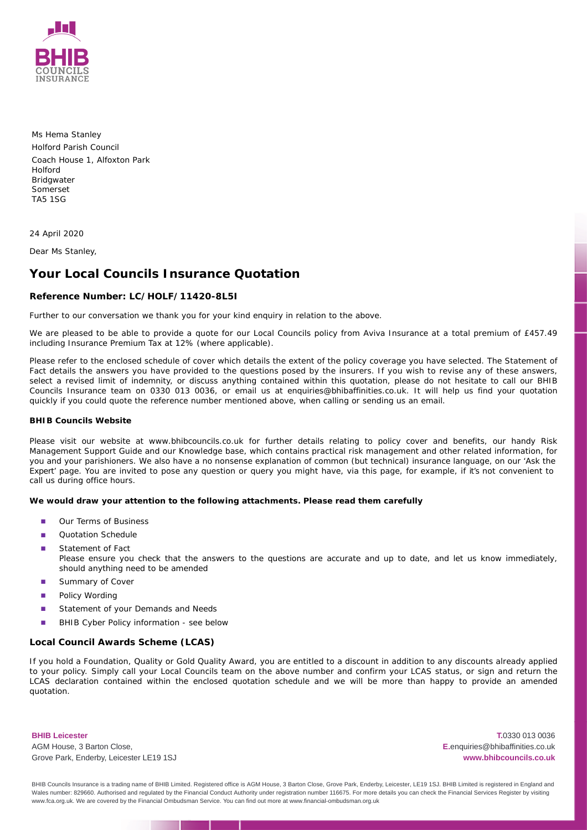

Ms Hema Stanley Holford Parish Council Coach House 1, Alfoxton Park Holford Bridgwater Somerset TA5 1SG

24 April 2020

Dear Ms Stanley,

# **Your Local Councils Insurance Quotation**

# **Reference Number: LC/HOLF/11420-8L5I**

Further to our conversation we thank you for your kind enquiry in relation to the above.

We are pleased to be able to provide a quote for our Local Councils policy from Aviva Insurance at a total premium of £457.49 including Insurance Premium Tax at 12% (where applicable).

Please refer to the enclosed schedule of cover which details the extent of the policy coverage you have selected. The Statement of Fact details the answers you have provided to the questions posed by the insurers. If you wish to revise any of these answers, select a revised limit of indemnity, or discuss anything contained within this quotation, please do not hesitate to call our BHIB Councils Insurance team on 0330 013 0036, or email us at enquiries@bhibaffinities.co.uk. It will help us find your quotation quickly if you could quote the reference number mentioned above, when calling or sending us an email.

### **BHIB Councils Website**

Please visit our website at www.bhibcouncils.co.uk for further details relating to policy cover and benefits, our handy Risk Management Support Guide and our Knowledge base, which contains practical risk management and other related information, for you and your parishioners. We also have a no nonsense explanation of common (but technical) insurance language, on our 'Ask the Expert' page. You are invited to pose any question or query you might have, via this page, for example, if it's not convenient to call us during office hours.

**We would draw your attention to the following attachments. Please read them carefully**

- Our Terms of Business ■
- Quotation Schedule ■
- Statement of Fact *Please ensure you check that the answers to the questions are accurate and up to date, and let us know immediately,* ■
- *should anything need to be amended*
- Summary of Cover ■
- Policy Wording ■
- Statement of your Demands and Needs ■
- BHIB Cyber Policy information see below ■

# **Local Council Awards Scheme (LCAS)**

If you hold a Foundation, Quality or Gold Quality Award, you are entitled to a discount in addition to any discounts already applied to your policy. Simply call your Local Councils team on the above number and confirm your LCAS status, or sign and return the LCAS declaration contained within the enclosed quotation schedule and we will be more than happy to provide an amended quotation.

**BHIB Leicester** AGM House, 3 Barton Close, Grove Park, Enderby, Leicester LE19 1SJ

**T.**0330 013 0036 **E.**enquiries@bhibaffinities.co.uk **www.bhibcouncils.co.uk**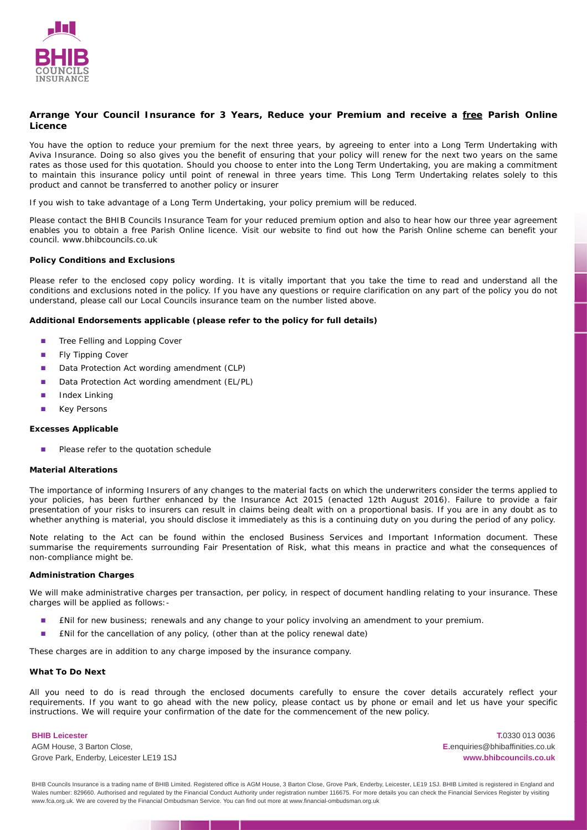

**Arrange Your Council Insurance for 3 Years, Reduce your Premium and receive a free Parish Online Licence**

You have the option to reduce your premium for the next three years, by agreeing to enter into a Long Term Undertaking with Aviva Insurance. Doing so also gives you the benefit of ensuring that your policy will renew for the next two years on the same rates as those used for this quotation. Should you choose to enter into the Long Term Undertaking, you are making a commitment to maintain this insurance policy until point of renewal in three years time. This Long Term Undertaking relates solely to this product and cannot be transferred to another policy or insurer

If you wish to take advantage of a Long Term Undertaking, your policy premium will be reduced.

Please contact the BHIB Councils Insurance Team for your reduced premium option and also to hear how our three year agreement enables you to obtain a free Parish Online licence. Visit our website to find out how the Parish Online scheme can benefit your council. www.bhibcouncils.co.uk

# **Policy Conditions and Exclusions**

Please refer to the enclosed copy policy wording. It is vitally important that you take the time to read and understand all the conditions and exclusions noted in the policy. If you have any questions or require clarification on any part of the policy you do not understand, please call our Local Councils insurance team on the number listed above.

**Additional Endorsements applicable (please refer to the policy for full details)**

- Tree Felling and Lopping Cover ■
- Fly Tipping Cover ■
- Data Protection Act wording amendment (CLP) ■
- Data Protection Act wording amendment (EL/PL) ■
- Index Linking ■
- Key Persons ■

### **Excesses Applicable**

Please refer to the quotation schedule ■

## **Material Alterations**

The importance of informing Insurers of any changes to the material facts on which the underwriters consider the terms applied to your policies, has been further enhanced by the Insurance Act 2015 (enacted 12th August 2016). Failure to provide a fair presentation of your risks to insurers can result in claims being dealt with on a proportional basis. If you are in any doubt as to whether anything is material, you should disclose it immediately as this is a continuing duty on you during the period of any policy.

Note relating to the Act can be found within the enclosed Business Services and Important Information document. These summarise the requirements surrounding Fair Presentation of Risk, what this means in practice and what the consequences of non-compliance might be.

### **Administration Charges**

We will make administrative charges per transaction, per policy, in respect of document handling relating to your insurance. These charges will be applied as follows:-

- £Nil for new business; renewals and any change to your policy involving an amendment to your premium. ■
- £Nil for the cancellation of any policy, (other than at the policy renewal date) ■

These charges are in addition to any charge imposed by the insurance company.

#### **What To Do Next**

All you need to do is read through the enclosed documents carefully to ensure the cover details accurately reflect your requirements. If you want to go ahead with the new policy, please contact us by phone or email and let us have your specific instructions. We will require your confirmation of the date for the commencement of the new policy.

#### **BHIB Leicester**

AGM House, 3 Barton Close, Grove Park, Enderby, Leicester LE19 1SJ

**T.**0330 013 0036 **E.**enquiries@bhibaffinities.co.uk **www.bhibcouncils.co.uk**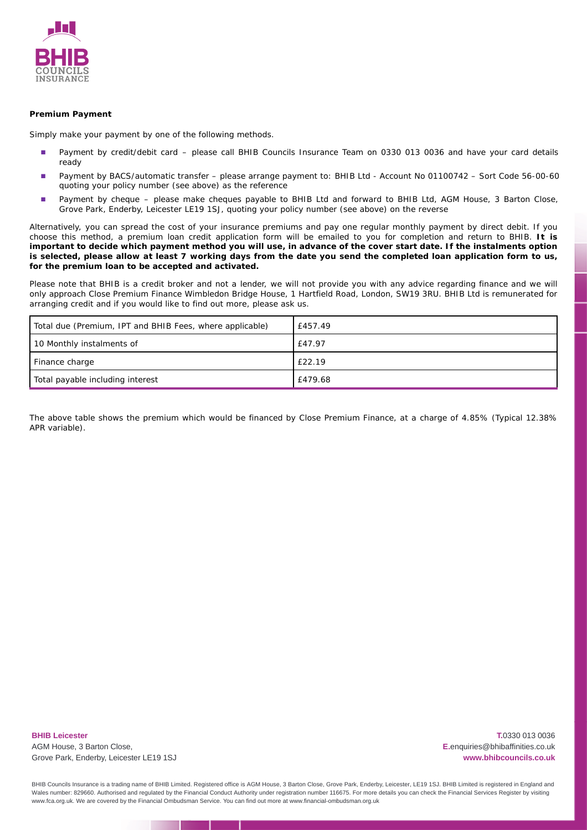

# **Premium Payment**

Simply make your payment by one of the following methods.

- Payment by credit/debit card please call BHIB Councils Insurance Team on 0330 013 0036 and have your card details ready ■
- Payment by BACS/automatic transfer please arrange payment to: BHIB Ltd Account No 01100742 Sort Code 56-00-60 quoting your policy number (see above) as the reference ■
- Payment by cheque please make cheques payable to BHIB Ltd and forward to BHIB Ltd, AGM House, 3 Barton Close, Grove Park, Enderby, Leicester LE19 1SJ, quoting your policy number (see above) on the reverse ■

Alternatively, you can spread the cost of your insurance premiums and pay one regular monthly payment by direct debit. If you choose this method, a premium loan credit application form will be emailed to you for completion and return to BHIB. **It is important to decide which payment method you will use, in advance of the cover start date. If the instalments option is selected, please allow at least 7 working days from the date you send the completed loan application form to us, for the premium loan to be accepted and activated.**

Please note that BHIB is a credit broker and not a lender, we will not provide you with any advice regarding finance and we will only approach Close Premium Finance Wimbledon Bridge House, 1 Hartfield Road, London, SW19 3RU. BHIB Ltd is remunerated for arranging credit and if you would like to find out more, please ask us.

| Total due (Premium, IPT and BHIB Fees, where applicable) | £457.49 |
|----------------------------------------------------------|---------|
| 10 Monthly instalments of                                | £47.97  |
| Finance charge                                           | £22.19  |
| Total payable including interest                         | £479.68 |

The above table shows the premium which would be financed by Close Premium Finance, at a charge of 4.85% (Typical 12.38% APR variable).

**BHIB Leicester** AGM House, 3 Barton Close, Grove Park, Enderby, Leicester LE19 1SJ

**T.**0330 013 0036 **E.**enquiries@bhibaffinities.co.uk **www.bhibcouncils.co.uk**